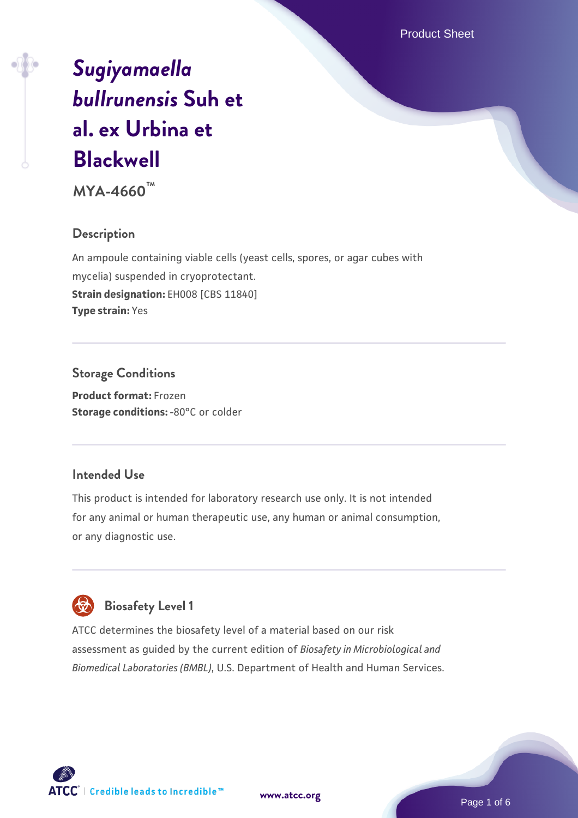Product Sheet

# *[Sugiyamaella](https://www.atcc.org/products/mya-4660) [bullrunensis](https://www.atcc.org/products/mya-4660)* **[Suh et](https://www.atcc.org/products/mya-4660) [al. ex Urbina et](https://www.atcc.org/products/mya-4660) [Blackwell](https://www.atcc.org/products/mya-4660)**

**MYA-4660™**

#### **Description**

An ampoule containing viable cells (yeast cells, spores, or agar cubes with mycelia) suspended in cryoprotectant. **Strain designation:** EH008 [CBS 11840] **Type strain:** Yes

### **Storage Conditions**

**Product format:** Frozen **Storage conditions: -80°C or colder** 

#### **Intended Use**

This product is intended for laboratory research use only. It is not intended for any animal or human therapeutic use, any human or animal consumption, or any diagnostic use.

### **Biosafety Level 1**

ATCC determines the biosafety level of a material based on our risk assessment as guided by the current edition of *Biosafety in Microbiological and Biomedical Laboratories (BMBL)*, U.S. Department of Health and Human Services.

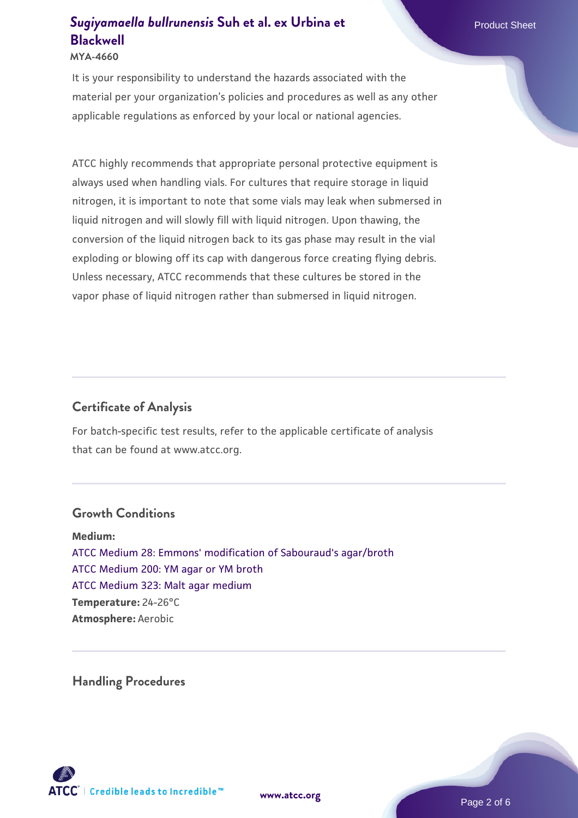#### **MYA-4660**

It is your responsibility to understand the hazards associated with the material per your organization's policies and procedures as well as any other applicable regulations as enforced by your local or national agencies.

ATCC highly recommends that appropriate personal protective equipment is always used when handling vials. For cultures that require storage in liquid nitrogen, it is important to note that some vials may leak when submersed in liquid nitrogen and will slowly fill with liquid nitrogen. Upon thawing, the conversion of the liquid nitrogen back to its gas phase may result in the vial exploding or blowing off its cap with dangerous force creating flying debris. Unless necessary, ATCC recommends that these cultures be stored in the vapor phase of liquid nitrogen rather than submersed in liquid nitrogen.

#### **Certificate of Analysis**

For batch-specific test results, refer to the applicable certificate of analysis that can be found at www.atcc.org.

#### **Growth Conditions**

**Medium:**  [ATCC Medium 28: Emmons' modification of Sabouraud's agar/broth](https://www.atcc.org/-/media/product-assets/documents/microbial-media-formulations/2/8/atcc-medium-28.pdf?rev=0da0c58cc2a343eeae735016b70809bb) [ATCC Medium 200: YM agar or YM broth](https://www.atcc.org/-/media/product-assets/documents/microbial-media-formulations/2/0/0/atcc-medium-200.pdf?rev=ac40fd74dc13433a809367b0b9da30fc) [ATCC Medium 323: Malt agar medium](https://www.atcc.org/-/media/product-assets/documents/microbial-media-formulations/3/2/3/atcc-medium-323.pdf?rev=58d6457ee20149d7a1c844947569ef92) **Temperature:** 24-26°C **Atmosphere:** Aerobic

**Handling Procedures**

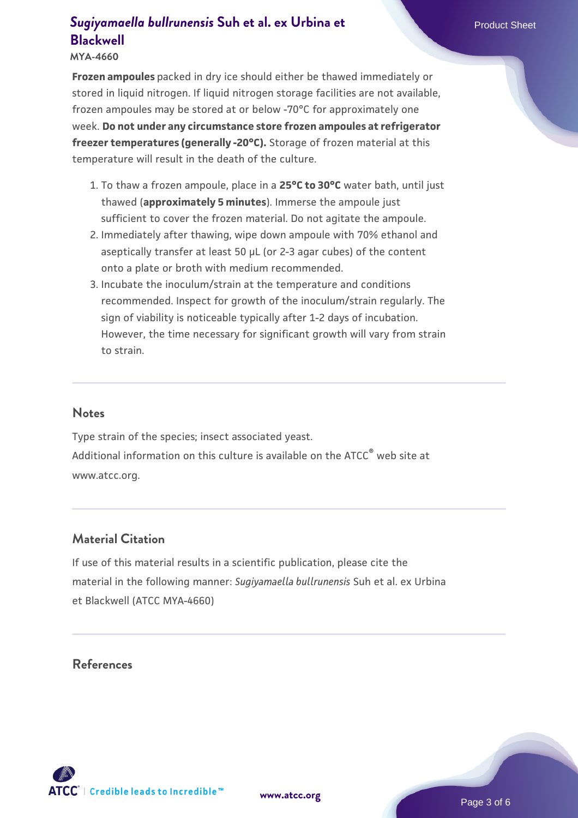**MYA-4660**

**Frozen ampoules** packed in dry ice should either be thawed immediately or stored in liquid nitrogen. If liquid nitrogen storage facilities are not available, frozen ampoules may be stored at or below -70°C for approximately one week. **Do not under any circumstance store frozen ampoules at refrigerator freezer temperatures (generally -20°C).** Storage of frozen material at this temperature will result in the death of the culture.

- 1. To thaw a frozen ampoule, place in a **25°C to 30°C** water bath, until just thawed (**approximately 5 minutes**). Immerse the ampoule just sufficient to cover the frozen material. Do not agitate the ampoule.
- 2. Immediately after thawing, wipe down ampoule with 70% ethanol and aseptically transfer at least 50 µL (or 2-3 agar cubes) of the content onto a plate or broth with medium recommended.
- Incubate the inoculum/strain at the temperature and conditions 3. recommended. Inspect for growth of the inoculum/strain regularly. The sign of viability is noticeable typically after 1-2 days of incubation. However, the time necessary for significant growth will vary from strain to strain.

#### **Notes**

Type strain of the species; insect associated yeast. Additional information on this culture is available on the ATCC<sup>®</sup> web site at www.atcc.org.

#### **Material Citation**

If use of this material results in a scientific publication, please cite the material in the following manner: *Sugiyamaella bullrunensis* Suh et al. ex Urbina et Blackwell (ATCC MYA-4660)

#### **References**

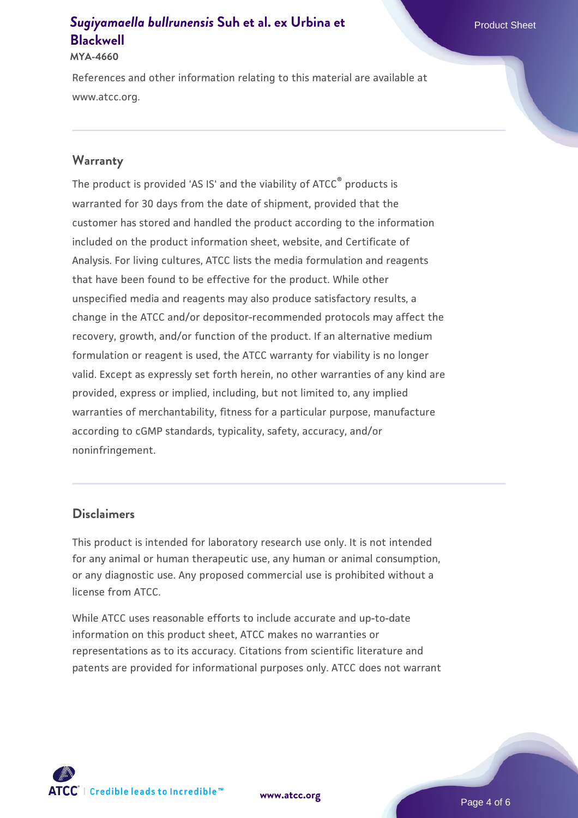#### **MYA-4660**

References and other information relating to this material are available at www.atcc.org.

#### **Warranty**

The product is provided 'AS IS' and the viability of ATCC<sup>®</sup> products is warranted for 30 days from the date of shipment, provided that the customer has stored and handled the product according to the information included on the product information sheet, website, and Certificate of Analysis. For living cultures, ATCC lists the media formulation and reagents that have been found to be effective for the product. While other unspecified media and reagents may also produce satisfactory results, a change in the ATCC and/or depositor-recommended protocols may affect the recovery, growth, and/or function of the product. If an alternative medium formulation or reagent is used, the ATCC warranty for viability is no longer valid. Except as expressly set forth herein, no other warranties of any kind are provided, express or implied, including, but not limited to, any implied warranties of merchantability, fitness for a particular purpose, manufacture according to cGMP standards, typicality, safety, accuracy, and/or noninfringement.

#### **Disclaimers**

This product is intended for laboratory research use only. It is not intended for any animal or human therapeutic use, any human or animal consumption, or any diagnostic use. Any proposed commercial use is prohibited without a license from ATCC.

While ATCC uses reasonable efforts to include accurate and up-to-date information on this product sheet, ATCC makes no warranties or representations as to its accuracy. Citations from scientific literature and patents are provided for informational purposes only. ATCC does not warrant



**[www.atcc.org](http://www.atcc.org)**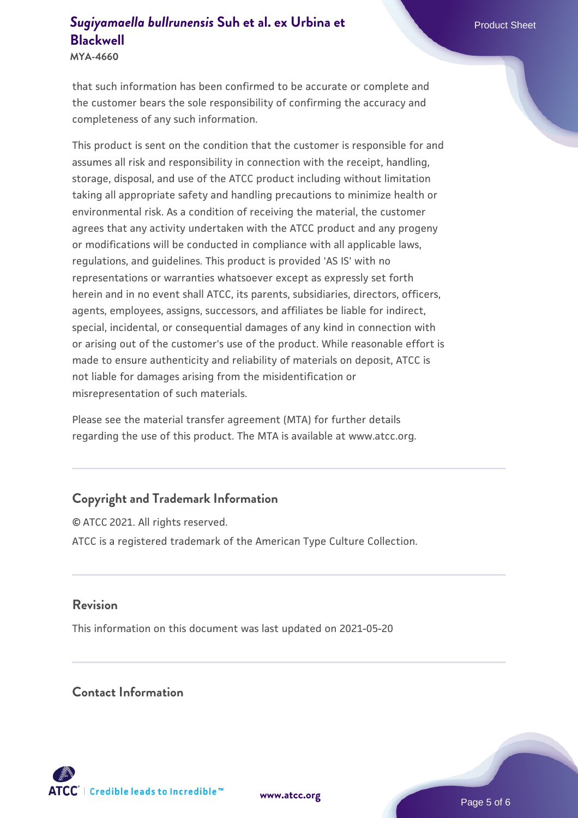**MYA-4660**

that such information has been confirmed to be accurate or complete and the customer bears the sole responsibility of confirming the accuracy and completeness of any such information.

This product is sent on the condition that the customer is responsible for and assumes all risk and responsibility in connection with the receipt, handling, storage, disposal, and use of the ATCC product including without limitation taking all appropriate safety and handling precautions to minimize health or environmental risk. As a condition of receiving the material, the customer agrees that any activity undertaken with the ATCC product and any progeny or modifications will be conducted in compliance with all applicable laws, regulations, and guidelines. This product is provided 'AS IS' with no representations or warranties whatsoever except as expressly set forth herein and in no event shall ATCC, its parents, subsidiaries, directors, officers, agents, employees, assigns, successors, and affiliates be liable for indirect, special, incidental, or consequential damages of any kind in connection with or arising out of the customer's use of the product. While reasonable effort is made to ensure authenticity and reliability of materials on deposit, ATCC is not liable for damages arising from the misidentification or misrepresentation of such materials.

Please see the material transfer agreement (MTA) for further details regarding the use of this product. The MTA is available at www.atcc.org.

### **Copyright and Trademark Information**

© ATCC 2021. All rights reserved. ATCC is a registered trademark of the American Type Culture Collection.

#### **Revision**

This information on this document was last updated on 2021-05-20

#### **Contact Information**



**[www.atcc.org](http://www.atcc.org)**